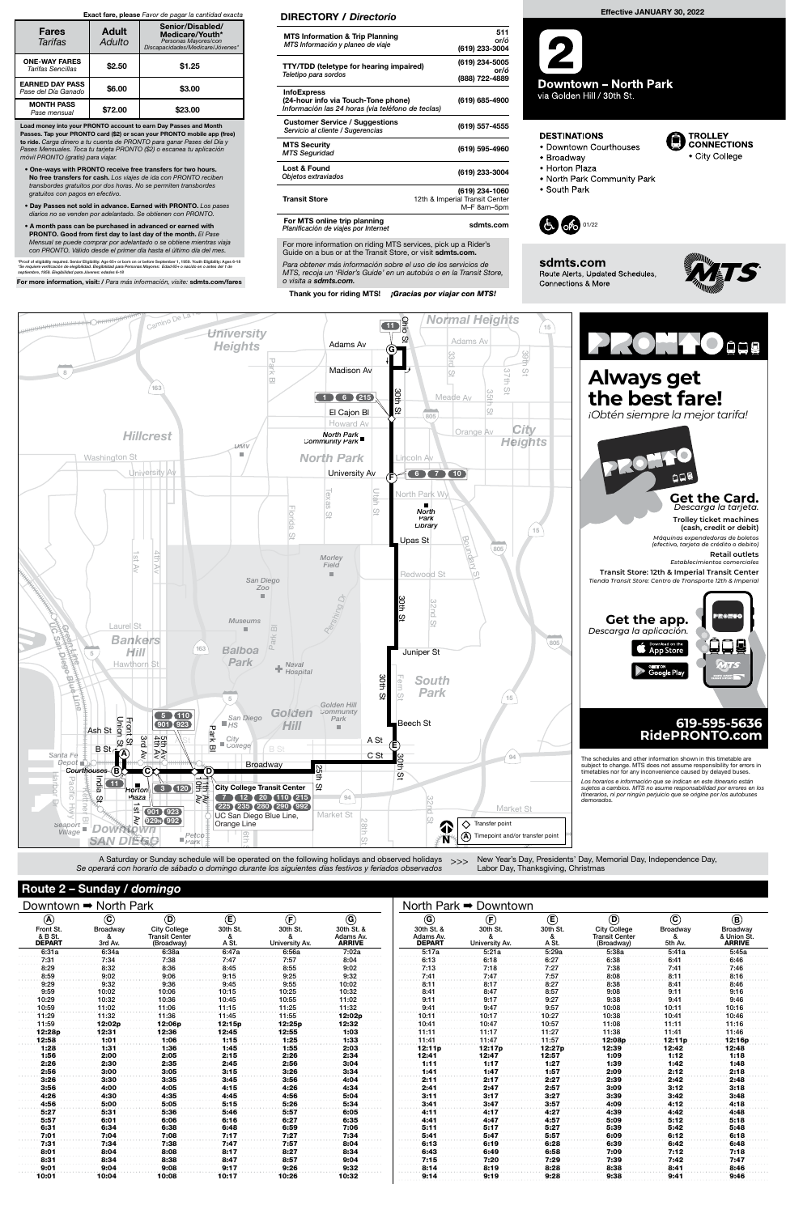## Downtown ➡ North Park

| A)     | $\widehat{\textbf{c}}$<br>$\bigcirc$<br>Front St.<br><b>Broadway</b><br><b>City College</b><br>& B St.<br>&<br><b>Transit Center</b><br><b>DEPART</b><br>3rd Av.<br>(Broadway) |        | (E                     | $(\widehat{\mathsf{F}})$        | ⊙                                        |  |  |
|--------|--------------------------------------------------------------------------------------------------------------------------------------------------------------------------------|--------|------------------------|---------------------------------|------------------------------------------|--|--|
|        |                                                                                                                                                                                |        | 30th St.<br>&<br>A St. | 30th St.<br>&<br>University Av. | 30th St. &<br>Adams Av.<br><b>ARRIVE</b> |  |  |
| 6:31a  | 6:34a                                                                                                                                                                          | 6:38a  | 6:47a                  | 6:56a                           | 7:02a                                    |  |  |
| 7:31   | 7:34                                                                                                                                                                           | 7:38   | 7:47                   | 7:57                            | 8:04                                     |  |  |
| 8:29   | 8:32                                                                                                                                                                           | 8:36   | 8:45                   | 8:55                            | 9:02                                     |  |  |
| 8:59   | 9:02                                                                                                                                                                           | 9:06   | 9:15                   | 9:25                            | 9:32                                     |  |  |
| 9:29   | 9:32                                                                                                                                                                           | 9:36   | 9:45                   | 9:55                            | 10:02                                    |  |  |
| 9:59   | 10:02                                                                                                                                                                          | 10:06  | 10:15                  | 10:25                           | 10:32                                    |  |  |
| 10:29  | 10:32                                                                                                                                                                          | 10:36  | 10:45                  | 10:55                           | 11:02                                    |  |  |
| 10:59  | 11:02                                                                                                                                                                          | 11:06  | 11:15                  | 11:25                           | 11:32                                    |  |  |
| 11:29  | 11:32                                                                                                                                                                          | 11:36  | 11:45                  | 11:55                           | 12:02p                                   |  |  |
| 11:59  | 12:02p                                                                                                                                                                         | 12:06p | 12:15p                 | 12:25p                          | 12:32                                    |  |  |
| 12:28p | 12:31                                                                                                                                                                          | 12:36  | 12:45                  | 12:55                           | 1:03                                     |  |  |
| 12:58  | 1:01                                                                                                                                                                           | 1:06   | 1:15                   | 1:25                            | 1:33                                     |  |  |
| 1:28   | 1:31                                                                                                                                                                           | 1:36   | 1:45                   | 1:55                            | 2:03                                     |  |  |
| 1:56   | 2:00                                                                                                                                                                           | 2:05   | 2:15                   | 2:26                            | 2:34                                     |  |  |
| 2:26   | 2:30                                                                                                                                                                           | 2:35   | 2:45                   | 2:56                            | 3:04                                     |  |  |
| 2:56   | 3:00                                                                                                                                                                           | 3:05   | 3:15                   | 3:26                            | 3:34                                     |  |  |
| 3:26   | 3:30                                                                                                                                                                           | 3:35   | 3:45                   | 3:56                            | 4:04                                     |  |  |
| 3:56   | 4:00                                                                                                                                                                           | 4:05   | 4:15                   | 4:26                            | 4:34                                     |  |  |
| 4:26   | 4:30                                                                                                                                                                           | 4:35   | 4:45                   | 4:56                            | 5:04                                     |  |  |
| 4:56   | 5:00                                                                                                                                                                           | 5:05   | 5:15                   | 5:26                            | 5:34                                     |  |  |
| 5:27   | 5:31                                                                                                                                                                           | 5:36   | 5:46                   | 5:57                            | 6:05                                     |  |  |
| 5:57   | 6:01                                                                                                                                                                           | 6:06   | 6:16                   | 6:27                            | 6:35                                     |  |  |
| 6:31   | 6:34                                                                                                                                                                           | 6:38   | 6:48                   | 6:59                            | 7:06                                     |  |  |
| 7:01   | 7:04                                                                                                                                                                           | 7:08   | 7:17                   | 7:27                            | 7:34                                     |  |  |
| 7:31   | 7:34                                                                                                                                                                           | 7:38   | 7:47                   | 7:57                            | 8:04                                     |  |  |
| 8:01   | 8:04                                                                                                                                                                           | 8:08   | 8:17                   | 8:27                            | 8:34                                     |  |  |
| 8:31   | 8:34                                                                                                                                                                           | 8:38   | 8:47                   | 8:57                            | 9:04                                     |  |  |
| 9:01   | 9:04                                                                                                                                                                           | 9:08   | 9:17                   | 9:26                            | 9:32                                     |  |  |
| 10:01  | 10:04                                                                                                                                                                          | 10:08  | 10:17                  | 10:26                           | 10:32                                    |  |  |

| $^\copyright$                            | $\left(\mathsf{F}\right)$       | (E)                    | $^\copyright$                                              | $^\copyright$                   | ◉                                        |
|------------------------------------------|---------------------------------|------------------------|------------------------------------------------------------|---------------------------------|------------------------------------------|
| 30th St. &<br>Adams Av.<br><b>DEPART</b> | 30th St.<br>&<br>University Av. | 30th St.<br>&<br>A St. | <b>City College</b><br><b>Transit Center</b><br>(Broadway) | <b>Broadway</b><br>&<br>5th Av. | Broadway<br>& Union St.<br><b>ARRIVE</b> |
| 5:17a                                    | 5:21a                           | 5:29a                  | 5:38a                                                      | 5:41a                           | 5:45a                                    |
| 6:13                                     | 6:18                            | 6:27                   | 6:38                                                       | 6:41                            | 6:46                                     |
| 7:13                                     | 7:18                            | 7:27                   | 7:38                                                       | 7:41                            | 7:46                                     |
| 7:41                                     | 7:47                            | 7:57                   | 8:08                                                       | 8:11                            | 8:16                                     |
| 8:11                                     | 8:17                            | 8:27                   | 8:38                                                       | 8:41                            | 8:46                                     |
| 8:41                                     | 8:47                            | 8:57                   | 9:08                                                       | 9:11                            | 9:16                                     |
| 9:11                                     | 9:17                            | 9:27                   | 9:38                                                       | 9:41                            | 9:46                                     |
| 9:41                                     | 9:47                            | 9:57                   | 10:08                                                      | 10:11                           | 10:16                                    |
| 10:11                                    | 10:17                           | 10:27                  | 10:38                                                      | 10:41                           | 10:46                                    |
| 10:41                                    | 10:47                           | 10:57                  | 11:08                                                      | 11:11                           | 11:16                                    |
| 11:11                                    | 11:17                           | 11:27                  | 11:38                                                      | 11:41                           | 11:46                                    |
| 11:41                                    | 11:47                           | 11:57                  | 12:08p                                                     | 12:11p                          | 12:16p                                   |
| 12:11p                                   | 12:17p                          | 12:27p                 | 12:39                                                      | 12:42                           | 12:48                                    |
| 12:41                                    | 12:47                           | 12:57                  | 1:09                                                       | 1:12                            | 1:18                                     |
| 1:11                                     | 1:17                            | 1:27                   | 1:39                                                       | 1:42                            | 1:48                                     |
| 1:41                                     | 1:47                            | 1:57                   | 2:09                                                       | 2:12                            | 2:18                                     |
| 2:11                                     | 2:17                            | 2:27                   | 2:39                                                       | 2:42                            | 2:48                                     |
| 2:41                                     | 2:47                            | 2:57                   | 3:09                                                       | 3:12                            | 3:18                                     |
| 3:11                                     | 3:17                            | 3:27                   | 3:39                                                       | 3:42                            | 3:48                                     |
| 3:41                                     | 3:47                            | 3:57                   | 4:09                                                       | 4:12                            | 4:18                                     |
| 4:11                                     | 4:17                            | 4:27                   | 4:39                                                       | 4:42                            | 4:48                                     |
| 4:41                                     | 4:47                            | 4:57                   | 5:09                                                       | 5:12                            | 5:18                                     |
| 5:11                                     | 5:17                            | 5:27                   | 5:39                                                       | 5:42                            | 5:48                                     |
| 5:41                                     | 5:47                            | 5:57                   | 6:09                                                       | 6:12                            | 6:18                                     |
| 6:13                                     | 6:19                            | 6:28                   | 6:39                                                       | 6:42                            | 6:48                                     |
| 6:43                                     | 6:49                            | 6:58                   | 7:09                                                       | 7:12                            | 7:18                                     |
| 7:15                                     | 7:20                            | 7:29                   | 7:39                                                       | 7:42                            | 7:47                                     |
| 8:14                                     | 8:19                            | 8:28                   | 8:38                                                       | 8:41                            | 8:46                                     |
| 9:14                                     | 9:19                            | 9:28                   | 9:38                                                       | 9:41                            | 9:46                                     |

A Saturday or Sunday schedule will be operated on the following holidays and observed holidays >>> Se operará con horario de sábado o domingo durante los siguientes días festivos y feriados observados nolidays and c 5

For more information on riding MTS services, pick up a Rider's Guide on a bus or at the Transit Store, or visit sdmts.com.



Logan Av



## **DESTINATIONS**



- Broadway
- Horton Plaza
- . North Park Community Park

· Downtown Courthouses

• South Park



sdmts.com Route Alerts, Updated Schedules, Connections & More



Para obtener más información sobre el uso de los servicios de MTS, recoja un 'Rider's Guide' en un autobús o en la Transit Store, o visita a sdmts.com.

Thank you for riding MTS! *iGracias por viajar con MTS!* 

### DIRECTORY / Directorio

| <b>MTS Information &amp; Trip Planning</b><br>MTS Información y planeo de viaje                                | 511<br>or/ó<br>(619) 233-3004                                   |
|----------------------------------------------------------------------------------------------------------------|-----------------------------------------------------------------|
| <b>TTY/TDD (teletype for hearing impaired)</b><br>Teletipo para sordos                                         | (619) 234-5005<br>or/ó<br>(888) 722-4889                        |
| <b>InfoExpress</b><br>(24-hour info via Touch-Tone phone)<br>Información las 24 horas (via teléfono de teclas) | (619) 685-4900                                                  |
| <b>Customer Service / Suggestions</b><br>Servicio al cliente / Sugerencias                                     | (619) 557-4555                                                  |
| <b>MTS Security</b><br><b>MTS Seguridad</b>                                                                    | (619) 595-4960                                                  |
| Lost & Found<br>Objetos extraviados                                                                            | (619) 233-3004                                                  |
| <b>Transit Store</b>                                                                                           | (619) 234-1060<br>12th & Imperial Transit Center<br>M-F 8am-5pm |
| For MTS online trip planning<br>Planificación de viajes por Internet                                           | sdmts.com                                                       |

Load money into your PRONTO account to earn Day Passes and Month Passes. Tap your PRONTO card (\$2) or scan your PRONTO mobile app (free) to ride. Carga dinero a tu cuenta de PRONTO para ganar Pases del Día y Pases Mensuales. Toca tu tarjeta PRONTO (\$2) o escanea tu aplicación móvil PRONTO (gratis) para viajar.

- One-ways with PRONTO receive free transfers for two hours. No free transfers for cash. Los viajes de ida con PRONTO reciben transbordes gratuitos por dos horas. No se permiten transbordes gratuitos con pagos en efectivo.
- Day Passes not sold in advance. Earned with PRONTO. Los pases diarios no se venden por adelantado. Se obtienen con PRONTO.
- A month pass can be purchased in advanced or earned with PRONTO. Good from first day to last day of the month. El Pase Mensual se puede comprar por adelantado o se obtiene mientras viaja con PRONTO. Válido desde el primer día hasta el último día del mes.

\*Proof of eligibility required. Senior Eligibility: Age 65+ or born on or before September 1, 1959. Youth Eligibility: Ages 6-18<br>\*Se requiere verificación de elegibilidad. Elegibilidad para Personas Mayores: Edad 65+ o nac

For more information, visit: / Para más información, visite: sdmts.com/fares

### Exact fare, please Favor de pagar la cantidad exacta

| <b>Fares</b><br>Tarifas                       | <b>Adult</b><br>Adulto | Senior/Disabled/<br>Medicare/Youth*<br>Personas Mayores/con<br>Discapacidades/Medicare/Jóvenes* |  |  |  |
|-----------------------------------------------|------------------------|-------------------------------------------------------------------------------------------------|--|--|--|
| <b>ONE-WAY FARES</b><br>Tarifas Sencillas     | \$2.50                 | \$1.25                                                                                          |  |  |  |
| <b>EARNED DAY PASS</b><br>Pase del Día Ganado | \$6.00                 | \$3.00                                                                                          |  |  |  |
| <b>MONTH PASS</b><br>Pase mensual             | \$72.00                | \$23.00                                                                                         |  |  |  |

New Year's Day, Presidents' Day, Memorial Day, Independence Day, Labor Day, Thanksgiving, Christmas